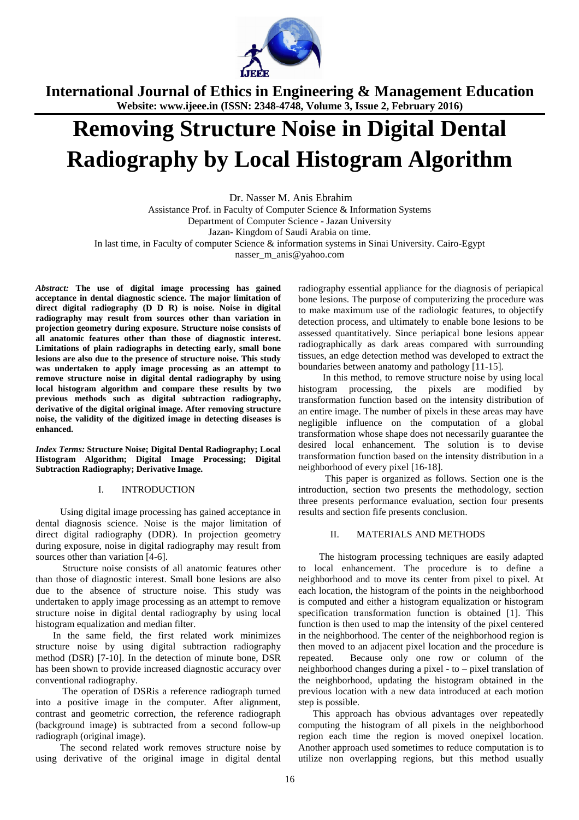

# **Removing Structure Noise in Digital Dental Radiography by Local Histogram Algorithm**

.Dr. Nasser M. Anis Ebrahim

Assistance Prof. in Faculty of Computer Science & Information Systems Department of Computer Science - Jazan University Jazan- Kingdom of Saudi Arabia on time. In last time, in Faculty of computer Science & information systems in Sinai University. Cairo-Egypt nasser\_m\_anis@yahoo.com

*Abstract:* **The use of digital image processing has gained acceptance in dental diagnostic science. The major limitation of direct digital radiography (D D R) is noise. Noise in digital radiography may result from sources other than variation in projection geometry during exposure. Structure noise consists of all anatomic features other than those of diagnostic interest. Limitations of plain radiographs in detecting early, small bone lesions are also due to the presence of structure noise. This study was undertaken to apply image processing as an attempt to remove structure noise in digital dental radiography by using local histogram algorithm and compare these results by two previous methods such as digital subtraction radiography, derivative of the digital original image. After removing structure noise, the validity of the digitized image in detecting diseases is enhanced.** 

*Index Terms:* **Structure Noise; Digital Dental Radiography; Local Histogram Algorithm; Digital Image Processing; Digital Subtraction Radiography; Derivative Image.** 

# I. INTRODUCTION

 Using digital image processing has gained acceptance in dental diagnosis science. Noise is the major limitation of direct digital radiography (DDR). In projection geometry during exposure, noise in digital radiography may result from sources other than variation [4-6].

 Structure noise consists of all anatomic features other than those of diagnostic interest. Small bone lesions are also due to the absence of structure noise. This study was undertaken to apply image processing as an attempt to remove structure noise in digital dental radiography by using local histogram equalization and median filter.

 In the same field, the first related work minimizes structure noise by using digital subtraction radiography method (DSR) [7-10]. In the detection of minute bone, DSR has been shown to provide increased diagnostic accuracy over conventional radiography.

 The operation of DSRis a reference radiograph turned into a positive image in the computer. After alignment, contrast and geometric correction, the reference radiograph (background image) is subtracted from a second follow-up radiograph (original image).

 The second related work removes structure noise by using derivative of the original image in digital dental radiography essential appliance for the diagnosis of periapical bone lesions. The purpose of computerizing the procedure was to make maximum use of the radiologic features, to objectify detection process, and ultimately to enable bone lesions to be assessed quantitatively. Since periapical bone lesions appear radiographically as dark areas compared with surrounding tissues, an edge detection method was developed to extract the boundaries between anatomy and pathology [11-15].

 In this method, to remove structure noise by using local histogram processing, the pixels are modified by transformation function based on the intensity distribution of an entire image. The number of pixels in these areas may have negligible influence on the computation of a global transformation whose shape does not necessarily guarantee the desired local enhancement. The solution is to devise transformation function based on the intensity distribution in a neighborhood of every pixel [16-18].

 This paper is organized as follows. Section one is the introduction, section two presents the methodology, section three presents performance evaluation, section four presents results and section fife presents conclusion.

# II. MATERIALS AND METHODS

The histogram processing techniques are easily adapted to local enhancement. The procedure is to define a neighborhood and to move its center from pixel to pixel. At each location, the histogram of the points in the neighborhood is computed and either a histogram equalization or histogram specification transformation function is obtained [1]. This function is then used to map the intensity of the pixel centered in the neighborhood. The center of the neighborhood region is then moved to an adjacent pixel location and the procedure is repeated. Because only one row or column of the neighborhood changes during a pixel - to – pixel translation of the neighborhood, updating the histogram obtained in the previous location with a new data introduced at each motion step is possible.

 This approach has obvious advantages over repeatedly computing the histogram of all pixels in the neighborhood region each time the region is moved onepixel location. Another approach used sometimes to reduce computation is to utilize non overlapping regions, but this method usually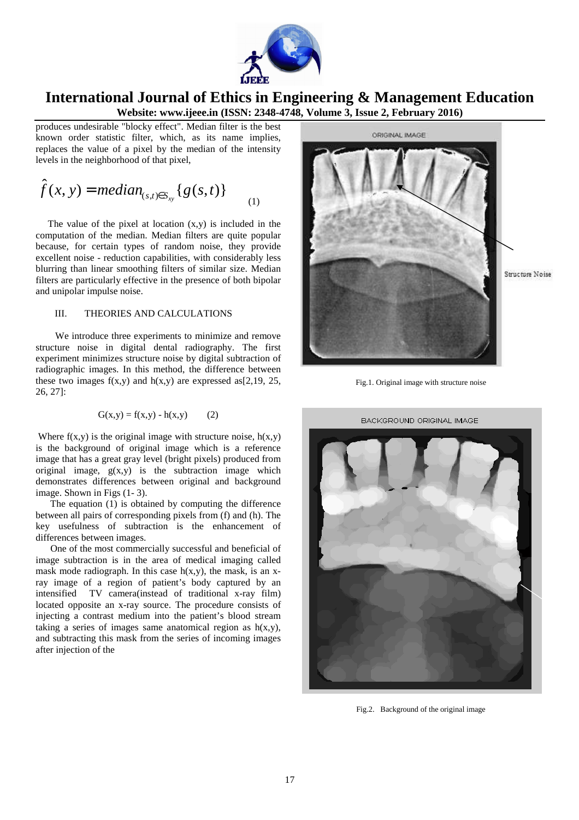

produces undesirable "blocky effect". Median filter is the best known order statistic filter, which, as its name implies, replaces the value of a pixel by the median of the intensity levels in the neighborhood of that pixel,

$$
\hat{f}(x, y) = median_{(s,t)\in S_{xy}}\{g(s,t)\}\tag{1}
$$

The value of the pixel at location  $(x,y)$  is included in the computation of the median. Median filters are quite popular because, for certain types of random noise, they provide excellent noise - reduction capabilities, with considerably less blurring than linear smoothing filters of similar size. Median filters are particularly effective in the presence of both bipolar and unipolar impulse noise.

### III. THEORIES AND CALCULATIONS

 We introduce three experiments to minimize and remove structure noise in digital dental radiography. The first experiment minimizes structure noise by digital subtraction of radiographic images. In this method, the difference between these two images  $f(x,y)$  and  $h(x,y)$  are expressed as [2,19, 25, 26, 27]:

$$
G(x,y) = f(x,y) - h(x,y)
$$
 (2)

Where  $f(x,y)$  is the original image with structure noise,  $h(x,y)$ is the background of original image which is a reference image that has a great gray level (bright pixels) produced from original image,  $g(x,y)$  is the subtraction image which demonstrates differences between original and background image. Shown in Figs (1- 3).

 The equation (1) is obtained by computing the difference between all pairs of corresponding pixels from (f) and (h). The key usefulness of subtraction is the enhancement of differences between images.

 One of the most commercially successful and beneficial of image subtraction is in the area of medical imaging called mask mode radiograph. In this case  $h(x,y)$ , the mask, is an xray image of a region of patient's body captured by an intensified TV camera(instead of traditional x-ray film) located opposite an x-ray source. The procedure consists of injecting a contrast medium into the patient's blood stream taking a series of images same anatomical region as  $h(x,y)$ , and subtracting this mask from the series of incoming images after injection of the



Fig.1. Original image with structure noise



Fig.2. Background of the original image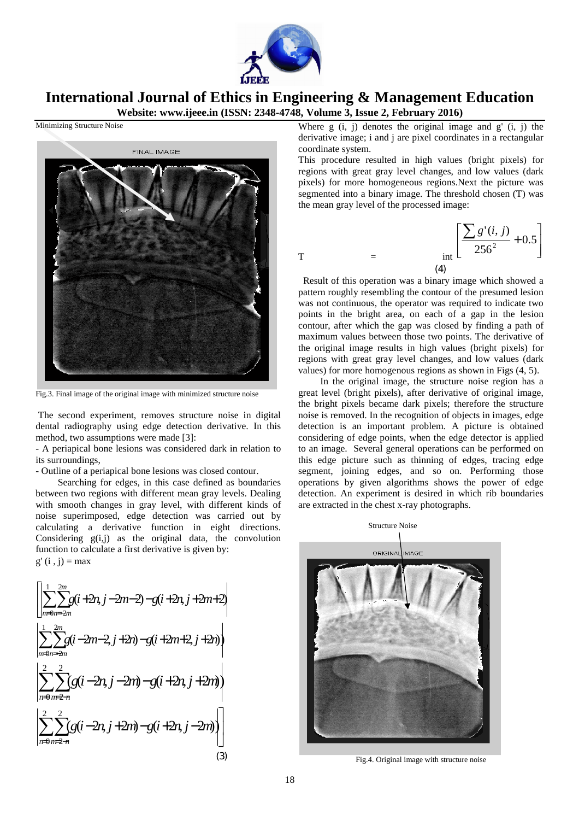

Minimizing Structure Noise



Fig.3. Final image of the original image with minimized structure noise

 The second experiment, removes structure noise in digital dental radiography using edge detection derivative. In this method, two assumptions were made [3]:

- A periapical bone lesions was considered dark in relation to its surroundings,

- Outline of a periapical bone lesions was closed contour.

 Searching for edges, in this case defined as boundaries between two regions with different mean gray levels. Dealing with smooth changes in gray level, with different kinds of noise superimposed, edge detection was carried out by calculating a derivative function in eight directions. Considering  $g(i,j)$  as the original data, the convolution function to calculate a first derivative is given by:  $g'(i, i) = max$ 

$$
\begin{bmatrix}\n\left| \sum_{m=0}^{1} \sum_{n=2m}^{2m} g(i+2n, j-2m-2) - g(i+2n, j+2m+2) \right| \\
\left| \sum_{m=0}^{1} \sum_{n=2m}^{2m} g(i-2m-2, j+2n) - g(i+2m+2, j+2n) \right| \\
\left| \sum_{n=0}^{2} \sum_{m=2-n}^{2} g(i-2n, j-2m) - g(i+2n, j+2m) \right| \\
\left| \sum_{n=0}^{2} \sum_{m=2-n}^{2} g(i-2n, j+2m) - g(i+2n, j-2m) \right|\n\end{bmatrix}
$$
\n(3)

Where  $g(i, j)$  denotes the original image and  $g'(i, j)$  the derivative image; i and j are pixel coordinates in a rectangular coordinate system.

This procedure resulted in high values (bright pixels) for regions with great gray level changes, and low values (dark pixels) for more homogeneous regions.Next the picture was segmented into a binary image. The threshold chosen (T) was the mean gray level of the processed image:

T = 
$$
\int_{(4)}^{\infty} \left[ \frac{\sum g'(i, j)}{256^2} + 0.5 \right]
$$

 Result of this operation was a binary image which showed a pattern roughly resembling the contour of the presumed lesion was not continuous, the operator was required to indicate two points in the bright area, on each of a gap in the lesion contour, after which the gap was closed by finding a path of maximum values between those two points. The derivative of the original image results in high values (bright pixels) for regions with great gray level changes, and low values (dark values) for more homogenous regions as shown in Figs (4, 5).

 In the original image, the structure noise region has a great level (bright pixels), after derivative of original image, the bright pixels became dark pixels; therefore the structure noise is removed. In the recognition of objects in images, edge detection is an important problem. A picture is obtained considering of edge points, when the edge detector is applied to an image. Several general operations can be performed on this edge picture such as thinning of edges, tracing edge segment, joining edges, and so on. Performing those operations by given algorithms shows the power of edge detection. An experiment is desired in which rib boundaries are extracted in the chest x-ray photographs.



Fig.4. Original image with structure noise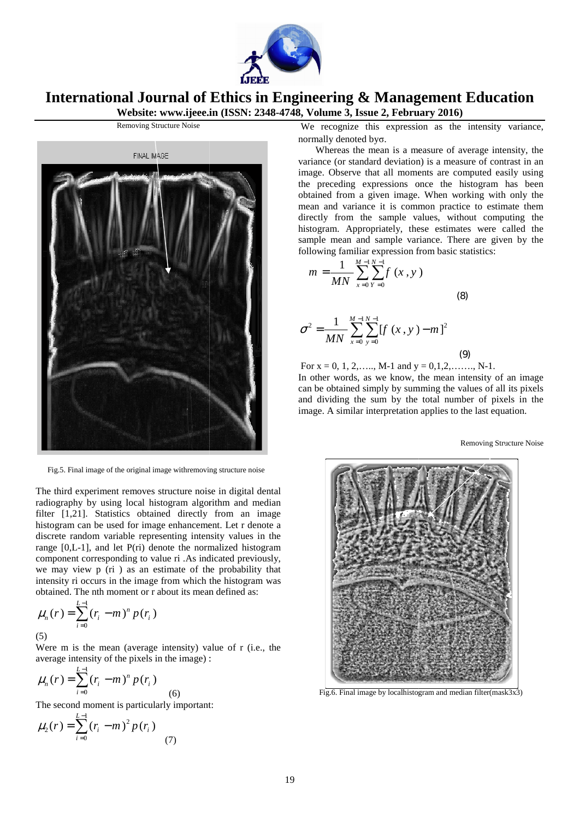



Fig.5. Final image of the original image withremoving structure noise

The third experiment removes structure noise in digital dental radiography by using local histogram algorithm and median filter [1,21]. Statistics obtained directly from an image histogram can be used for image enhancement. Let r denote a discrete random variable representing intensity values in the range [0,L-1], and let P(ri) denote the normalized histogram component corresponding to value ri .As indicated previously, we may view p (ri ) as an estimate of the probability that intensity ri occurs in the image from which the histogram was obtained. The nth moment or r about its mean defined as: %) denote the normalized histogram<br>to value ri .As indicated previously,<br>an estimate of the probability that<br>nage from which the histogram was<br>or r about its mean defined as:<br> $(r_i)$ <br>rage intensity) value of r (i.e., the

$$
\mu_n(r) = \sum_{i=0}^{L-1} (r_i - m)^n p(r_i)
$$
\n(5)

Were m is the mean (average intensity) value of r (i.e., the average intensity of the pixels in the image) :

$$
\mu_n(r) = \sum_{i=0}^{L-1} (r_i - m)^n p(r_i)
$$
\n(6)

The second moment is particularly important:

$$
\mu_2(r) = \sum_{i=0}^{L-1} (r_i - m)^2 p(r_i)
$$
 (7)

We recognize this expression as the intensity variance, normally denoted byσ.

 Whereas the mean is a measure of average intensity, the variance (or standard deviation) is a measure of contrast in an image. Observe that all moments are computed easily using the preceding expressions once the histogram has been obtained from a given image. When working mean and variance it is common practice to estimate them directly from the sample values, without computing the histogram. Appropriately, these estimates were called the sample mean and sample variance. There are given by the following familiar expression from basic statistics: e (or standard deviation) is a measure of contrast in an<br>Observe that all moments are computed easily using<br>eceding expressions once the histogram has been<br>d from a given image. When working with only the

$$
m = \frac{1}{MN} \sum_{x=0}^{M-1} \sum_{y=0}^{N-1} f(x, y)
$$
\n
$$
\sigma^{2} = \frac{1}{MN} \sum_{x=0}^{M-1} \sum_{y=0}^{N-1} [f(x, y) - m]^{2}
$$
\n(9)

For  $x = 0, 1, 2, \ldots, M-1$  and  $y = 0, 1, 2, \ldots, N-1$ . In other words, as we know, the mean intensity of an image can be obtained simply by summing the values of all its pixels and dividing the sum by the total number of pixels in the image. A similar interpretation applies to the last equation.

Removing Structure Noise



Fig.6. Final image by localhistogram and median filter(mask3x3)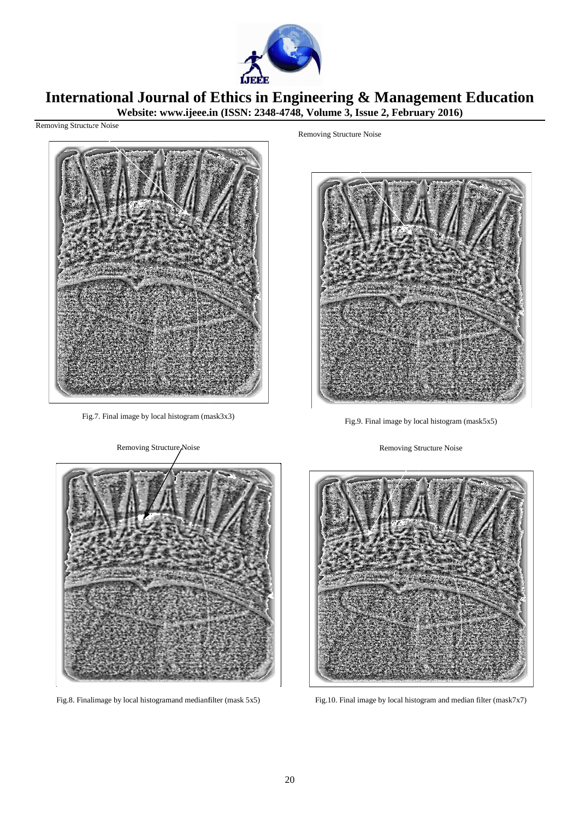

#### **International Journal of Website: www.ijeee.in Ethics in Engineering & Management Education (ISSN: 2348-4748, Volume 3, Issue 2, February February 2016)**

Removing Structure Noise



Fig.7. Final image by local histogram (mask3x3)

Removing Structure Noise



Fig.9. Final image by local histogram (mask5x5)

Removing Structure Noise



Fig.8. Finalimage by local histogramand medianfilter (mask 5x5)



Fig.10. Final image by local histogram and median filter (mask7x7)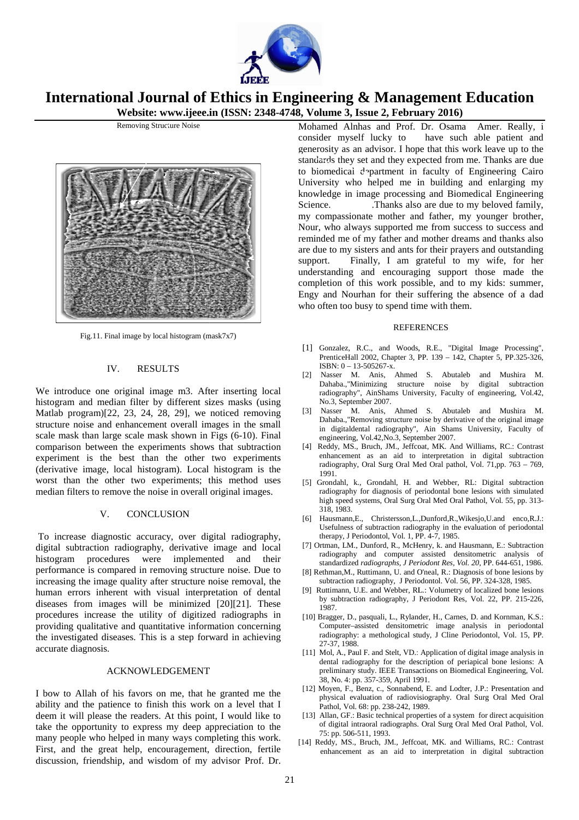



Removing Structure Noise

Fig.11. Final image by local histogram (mask7x7)

### IV. RESULTS

We introduce one original image m3. After inserting local histogram and median filter by different sizes masks (using Matlab program)[22, 23, 24, 28, 29], we noticed removing structure noise and enhancement overall images in the small scale mask than large scale mask shown in Figs (6-10). Final comparison between the experiments shows that subtraction experiment is the best than the other two experiments (derivative image, local histogram). Local histogram is the worst than the other two experiments; this meth method uses median filters to remove the noise in overall original images.

# V. CONCLUSION

To increase diagnostic accuracy, over digital radiography, digital subtraction radiography, derivative image and local histogram procedures were implemented and their performance is compared in removing structure noise. Due to increasing the image quality after structure noise removal, the human errors inherent with visual interpretation of dental diseases from images will be minimized [20][21]. These procedures increase the utility of digitized radiographs in providing qualitative and quantitative information concerning the investigated diseases. This is a step forward in achieving accurate diagnosis.

### ACKNOWLEDGEMENT

I bow to Allah of his favors on me, that he granted me the ability and the patience to finish this work on a level that I deem it will please the readers. At this point, I would like to take the opportunity to express my deep appreciation to the many people who helped in many ways completing this work. First, and the great help, encouragement, direction, fertile discussion, friendship, and wisdom of my advisor Prof. Dr.

consider myself lucky to have such able patient and generosity as an advisor. I hope that this work leave up to the standards they set and they expected from me. Thanks are due to biomedical department in faculty of Engineering Cairo University who helped me in building and enlarging my knowledge in image processing and Biomedical Engineering Science. Thanks also are due to my beloved family, my compassionate mother and father, my younger brother, Nour, who always supported me from success to success and reminded me of my father and mother dreams and thanks also are due to my sisters and ants for their prayers and outstanding support. Finally, I am grateful to my wife, for her understanding and encouraging support those made the completion of this work possible, and to my kids: summer, Engy and Nourhan for their suffering the absence of a dad who often too busy to spend time with them. Amer. Really, i

### REFERENCES EFERENCES

- [1] Gonzalez, R.C., and Woods, R.E., "Digital Image Processing", PrenticeHall 2002, Chapter 3, PP. 139 – 142, Chapter 5, PP.325-326, ISBN: 0 – 13-505267-x.
- [2] Nasser M. Anis, Ahmed S. Abutaleb and Mushira M. Dahaba.,"Minimizing structure noise by digital subtraction radiography", AinShams University, Faculty of engineering, Vol.42, No.3, September 2007.
- [3] Nasser M. Anis, Ahmed S. Abutaleb and Mushira M. Dahaba.,"Removing structure noise by derivative of the original image in digitaldental radiography", Ain Shams University, Faculty of engineering, Vol.42,No.3, September 2007. adiography", AinShams University, Faculty of engineering, Vol.42, No.3, September 2007.<br>Nasser M. Anis, Ahmed S. Abutaleb and Mushira M. Dahaba.,"Removing structure noise by derivative of the original image in digital<br>dent
- [4] Reddy, MS., Bruch, JM., Jeffcoat, MK. And Williams, RC.: Contrast enhancement as an aid to interpretation in digital subtraction radiography, Oral Surg Oral Med Oral pathol, Vol.  $71$ ,pp.  $763 - 769$ , 1991.
- [5] Grondahl, k., Grondahl, H. and Webber, RL: Digital subtraction radiography for diagnosis of periodontal bone lesions with simulated high speed systems, Oral Surg Oral Med Oral Pathol, Vol. 55, pp. 313-318, 1983.
- [6] Hausmann,E., Christersson,L.,Dunford,R.,Wikesjo,U.and enco,R.J.: Usefulness of subtraction radiography in the evaluation of periodontal therapy, J Periodontol, Vol. 1, PP. 4 4-7, 1985.
- [7] Ortman, LM., Dunford, R., McHenry, k. and Hausmann, E.: Subtraction radiography and computer assisted densitometric analysis of standardized *radiographs, J Periodont Res, Vol. 20, PP.* 644-651, 1986.
- [8] Rethman, M., Ruttimann, U. and O'neal, R.: Diagnosis of bone lesions by subtraction radiography, J Periodontol. Vol. 56, PP. 324-328, 1985.
- Ruttimann, U.E. and Webber, RL.: Volumetry of localized bone lesions by subtraction radiography, J Periodont Res, Vol. 22, PP. 215-226, 1987.
- [10] Bragger, D., pasquali, L., Rylander, H., Carnes, D. and Kornman, K.S.: Computer–assisted densitometric image analysis in periodontal radiography: a methological study, J Cline Periodontol, Vol. 15, PP. 27-37, 1988. sted densitometric image analysis in periodontal<br>methological study, J Cline Periodontol, Vol. 15, PP.<br>F. and Stelt, VD.: Application of digital image analysis in
- [11] Mol, A., Paul F. and Stelt, VD.: Application of digital image analysis in dental radiography for the description of periapical bone lesions: A preliminary study. IEEE Transactions on Biomedical Engineering, Vol. 38, No. 4: pp. 357-359, April 1991.
- [12] Moyen, F., Benz, c., Sonnabend, E. and Lodter, J.P.: Presentation and 38, No. 4: pp. 357-359, April 1991.<br>Moyen, F., Benz, c., Sonnabend, E. and Lodter, J.P.: Presentation and<br>physical evaluation of radiovisiography. Oral Surg Oral Med Oral Pathol, Vol. 68: pp. 238-242, 1989.
- [13] Allan, GF.: Basic technical properties of a system for direct acquisition of digital intraoral radiographs. Oral Surg Oral Med Oral Pathol, Vol. 75: pp. 506-511, 1993. 242, 1989.<br>cal properti<br>graphs. Or.<br>, Jeffcoat,
- [14] Reddy, MS., Bruch, JM., Jeffcoat, MK. and Williams, RC.: Contrast enhancement as an aid to interpretation in digital subtraction